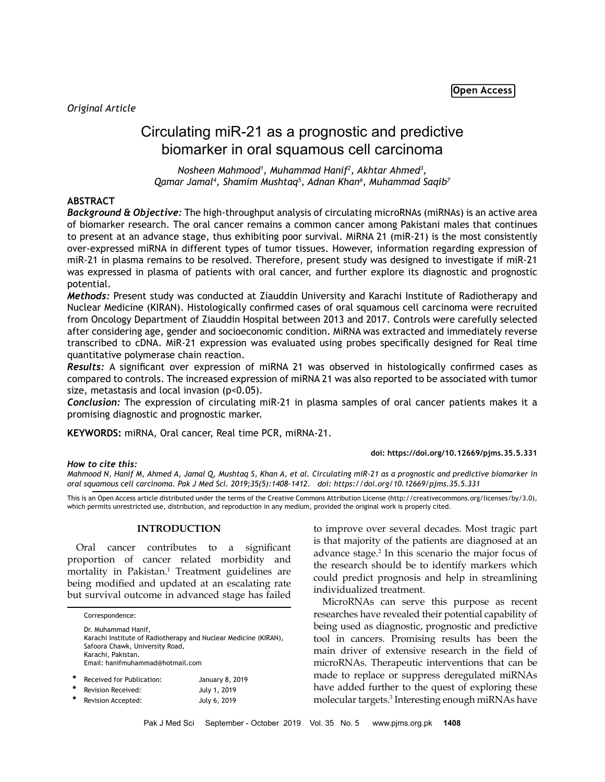# Circulating miR-21 as a prognostic and predictive biomarker in oral squamous cell carcinoma

*Nosheen Mahmood1 , Muhammad Hanif2 , Akhtar Ahmed3 , Qamar Jamal4 , Shamim Mushtaq5 , Adnan Khan6 , Muhammad Saqib7*

# **ABSTRACT**

*Background & Objective:* The high-throughput analysis of circulating microRNAs (miRNAs) is an active area of biomarker research. The oral cancer remains a common cancer among Pakistani males that continues to present at an advance stage, thus exhibiting poor survival. MiRNA 21 (miR-21) is the most consistently over-expressed miRNA in different types of tumor tissues. However, information regarding expression of miR-21 in plasma remains to be resolved. Therefore, present study was designed to investigate if miR-21 was expressed in plasma of patients with oral cancer, and further explore its diagnostic and prognostic potential.

*Methods:* Present study was conducted at Ziauddin University and Karachi Institute of Radiotherapy and Nuclear Medicine (KIRAN). Histologically confirmed cases of oral squamous cell carcinoma were recruited from Oncology Department of Ziauddin Hospital between 2013 and 2017. Controls were carefully selected after considering age, gender and socioeconomic condition. MiRNA was extracted and immediately reverse transcribed to cDNA. MiR-21 expression was evaluated using probes specifically designed for Real time quantitative polymerase chain reaction.

*Results:* A significant over expression of miRNA 21 was observed in histologically confirmed cases as compared to controls. The increased expression of miRNA 21 was also reported to be associated with tumor size, metastasis and local invasion  $(p<0.05)$ .

*Conclusion:* The expression of circulating miR-21 in plasma samples of oral cancer patients makes it a promising diagnostic and prognostic marker.

**KEYWORDS:** miRNA, Oral cancer, Real time PCR, miRNA-21.

## **doi: https://doi.org/10.12669/pjms.35.5.331**

*How to cite this:*

*Mahmood N, Hanif M, Ahmed A, Jamal Q, Mushtaq S, Khan A, et al. Circulating miR-21 as a prognostic and predictive biomarker in oral squamous cell carcinoma. Pak J Med Sci. 2019;35(5):1408-1412. doi: https://doi.org/10.12669/pjms.35.5.331*

This is an Open Access article distributed under the terms of the Creative Commons Attribution License (http://creativecommons.org/licenses/by/3.0), which permits unrestricted use, distribution, and reproduction in any medium, provided the original work is properly cited.

# **INTRODUCTION**

Oral cancer contributes to a significant proportion of cancer related morbidity and mortality in Pakistan.<sup>1</sup> Treatment guidelines are being modified and updated at an escalating rate but survival outcome in advanced stage has failed

|   | Correspondence:                                                                                                                                                                     |                 |
|---|-------------------------------------------------------------------------------------------------------------------------------------------------------------------------------------|-----------------|
|   | Dr. Muhammad Hanif,<br>Karachi Institute of Radiotherapy and Nuclear Medicine (KIRAN),<br>Safoora Chawk, University Road,<br>Karachi, Pakistan.<br>Email: hanifmuhammad@hotmail.com |                 |
| * | Received for Publication:                                                                                                                                                           | January 8, 2019 |

| Revision Received: | July 1, 2019 |
|--------------------|--------------|
| Revision Accepted: | July 6, 2019 |

to improve over several decades. Most tragic part is that majority of the patients are diagnosed at an advance stage.<sup>2</sup> In this scenario the major focus of the research should be to identify markers which could predict prognosis and help in streamlining individualized treatment.

MicroRNAs can serve this purpose as recent researches have revealed their potential capability of being used as diagnostic, prognostic and predictive tool in cancers. Promising results has been the main driver of extensive research in the field of microRNAs. Therapeutic interventions that can be made to replace or suppress deregulated miRNAs have added further to the quest of exploring these molecular targets.3 Interesting enough miRNAs have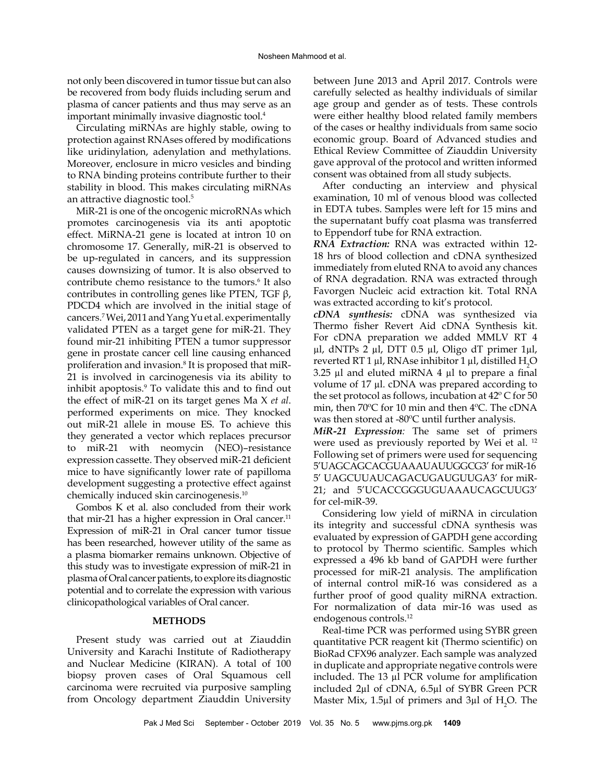not only been discovered in tumor tissue but can also be recovered from body fluids including serum and plasma of cancer patients and thus may serve as an important minimally invasive diagnostic tool.4

Circulating miRNAs are highly stable, owing to protection against RNAses offered by modifications like uridinylation, adenylation and methylations. Moreover, enclosure in micro vesicles and binding to RNA binding proteins contribute further to their stability in blood. This makes circulating miRNAs an attractive diagnostic tool.5

MiR-21 is one of the oncogenic microRNAs which promotes carcinogenesis via its anti apoptotic effect. MiRNA-21 gene is located at intron 10 on chromosome 17. Generally, miR-21 is observed to be up-regulated in cancers, and its suppression causes downsizing of tumor. It is also observed to contribute chemo resistance to the tumors.<sup>6</sup> It also contributes in controlling genes like PTEN, TGF β, PDCD4 which are involved in the initial stage of cancers.7 Wei, 2011 and Yang Yu et al. experimentally validated PTEN as a target gene for miR-21. They found mir-21 inhibiting PTEN a tumor suppressor gene in prostate cancer cell line causing enhanced proliferation and invasion.<sup>8</sup> It is proposed that miR-21 is involved in carcinogenesis via its ability to inhibit apoptosis.9 To validate this and to find out the effect of miR-21 on its target genes Ma X *et al*. performed experiments on mice. They knocked out miR-21 allele in mouse ES. To achieve this they generated a vector which replaces precursor to miR-21 with neomycin (NEO)–resistance expression cassette. They observed miR-21 deficient mice to have significantly lower rate of papilloma development suggesting a protective effect against chemically induced skin carcinogenesis.10

Gombos K et al. also concluded from their work that mir-21 has a higher expression in Oral cancer.<sup>11</sup> Expression of miR-21 in Oral cancer tumor tissue has been researched, however utility of the same as a plasma biomarker remains unknown. Objective of this study was to investigate expression of miR-21 in plasma of Oral cancer patients, to explore its diagnostic potential and to correlate the expression with various clinicopathological variables of Oral cancer.

#### **METHODS**

Present study was carried out at Ziauddin University and Karachi Institute of Radiotherapy and Nuclear Medicine (KIRAN). A total of 100 biopsy proven cases of Oral Squamous cell carcinoma were recruited via purposive sampling from Oncology department Ziauddin University between June 2013 and April 2017. Controls were carefully selected as healthy individuals of similar age group and gender as of tests. These controls were either healthy blood related family members of the cases or healthy individuals from same socio economic group. Board of Advanced studies and Ethical Review Committee of Ziauddin University gave approval of the protocol and written informed consent was obtained from all study subjects.

After conducting an interview and physical examination, 10 ml of venous blood was collected in EDTA tubes. Samples were left for 15 mins and the supernatant buffy coat plasma was transferred to Eppendorf tube for RNA extraction.

*RNA Extraction:* RNA was extracted within 12- 18 hrs of blood collection and cDNA synthesized immediately from eluted RNA to avoid any chances of RNA degradation. RNA was extracted through Favorgen Nucleic acid extraction kit. Total RNA was extracted according to kit's protocol.

*cDNA synthesis:* cDNA was synthesized via Thermo fisher Revert Aid cDNA Synthesis kit. For cDNA preparation we added MMLV RT 4 µl, dNTPs 2 µl, DTT 0.5 µl, Oligo dT primer 1µl, reverted RT 1 µl, RNAse inhibitor 1 µl, distilled  $H_2O$ 3.25  $\mu$ l and eluted miRNA 4  $\mu$ l to prepare a final volume of 17 µl. cDNA was prepared according to the set protocol as follows, incubation at 42º C for 50 min, then 70ºC for 10 min and then 4ºC. The cDNA was then stored at -80ºC until further analysis.

*MiR-21 Expression:* The same set of primers were used as previously reported by Wei et al. 12 Following set of primers were used for sequencing 5'UAGCAGCACGUAAAUAUUGGCG3' for miR-16 5' UAGCUUAUCAGACUGAUGUUGA3' for miR-21; and 5'UCACCGGGUGUAAAUCAGCUUG3' for cel-miR-39.

Considering low yield of miRNA in circulation its integrity and successful cDNA synthesis was evaluated by expression of GAPDH gene according to protocol by Thermo scientific. Samples which expressed a 496 kb band of GAPDH were further processed for miR-21 analysis. The amplification of internal control miR-16 was considered as a further proof of good quality miRNA extraction. For normalization of data mir-16 was used as endogenous controls.12

Real-time PCR was performed using SYBR green quantitative PCR reagent kit (Thermo scientific) on BioRad CFX96 analyzer. Each sample was analyzed in duplicate and appropriate negative controls were included. The 13 µl PCR volume for amplification included 2µl of cDNA, 6.5µl of SYBR Green PCR Master Mix, 1.5 $\mu$ l of primers and 3 $\mu$ l of H<sub>2</sub>O. The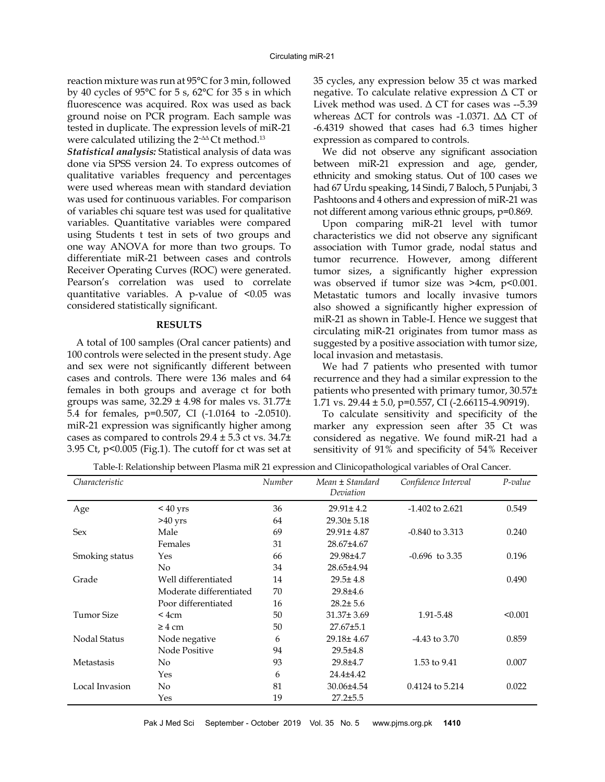reaction mixture was run at 95°C for 3 min, followed by 40 cycles of 95°C for 5 s, 62°C for 35 s in which fluorescence was acquired. Rox was used as back ground noise on PCR program. Each sample was tested in duplicate. The expression levels of miR-21 were calculated utilizing the  $2^{-\Delta\Delta}$ Ct method.<sup>13</sup>

*Statistical analysis:* Statistical analysis of data was done via SPSS version 24. To express outcomes of qualitative variables frequency and percentages were used whereas mean with standard deviation was used for continuous variables. For comparison of variables chi square test was used for qualitative variables. Quantitative variables were compared using Students t test in sets of two groups and one way ANOVA for more than two groups. To differentiate miR-21 between cases and controls Receiver Operating Curves (ROC) were generated. Pearson's correlation was used to correlate quantitative variables. A p-value of  $\leq 0.05$  was considered statistically significant.

# **RESULTS**

A total of 100 samples (Oral cancer patients) and 100 controls were selected in the present study. Age and sex were not significantly different between cases and controls. There were 136 males and 64 females in both groups and average ct for both groups was same,  $32.29 \pm 4.98$  for males vs.  $31.77 \pm$ 5.4 for females, p=0.507, CI (-1.0164 to -2.0510). miR-21 expression was significantly higher among cases as compared to controls 29.4 ± 5.3 ct vs. 34.7± 3.95 Ct, p<0.005 (Fig.1). The cutoff for ct was set at 35 cycles, any expression below 35 ct was marked negative. To calculate relative expression Δ CT or Livek method was used.  $\Delta$  CT for cases was --5.39 whereas ΔCT for controls was -1.0371. ΔΔ CT of -6.4319 showed that cases had 6.3 times higher expression as compared to controls.

We did not observe any significant association between miR-21 expression and age, gender, ethnicity and smoking status. Out of 100 cases we had 67 Urdu speaking, 14 Sindi, 7 Baloch, 5 Punjabi, 3 Pashtoons and 4 others and expression of miR-21 was not different among various ethnic groups, p=0.869.

Upon comparing miR-21 level with tumor characteristics we did not observe any significant association with Tumor grade, nodal status and tumor recurrence. However, among different tumor sizes, a significantly higher expression was observed if tumor size was >4cm, p<0.001. Metastatic tumors and locally invasive tumors also showed a significantly higher expression of miR-21 as shown in Table-I. Hence we suggest that circulating miR-21 originates from tumor mass as suggested by a positive association with tumor size, local invasion and metastasis.

We had 7 patients who presented with tumor recurrence and they had a similar expression to the patients who presented with primary tumor, 30.57± 1.71 vs.  $29.44 \pm 5.0$ , p=0.557, CI (-2.66115-4.90919).

To calculate sensitivity and specificity of the marker any expression seen after 35 Ct was considered as negative. We found miR-21 had a sensitivity of 91% and specificity of 54% Receiver

| Table-I: Relationship between Plasma miR 21 expression and Clinicopathological variables of Oral Cancer. |  |  |  |  |
|----------------------------------------------------------------------------------------------------------|--|--|--|--|
|----------------------------------------------------------------------------------------------------------|--|--|--|--|

| Characteristic      |                         | Number | Mean ± Standard<br>Deviation | Confidence Interval | P-value |
|---------------------|-------------------------|--------|------------------------------|---------------------|---------|
| Age                 | $< 40 \text{ yrs}$      | 36     | $29.91 \pm 4.2$              | $-1.402$ to 2.621   | 0.549   |
|                     | $>40$ yrs               | 64     | $29.30 \pm 5.18$             |                     |         |
| Sex                 | Male                    | 69     | 29.91± 4.87                  | $-0.840$ to 3.313   | 0.240   |
|                     | Females                 | 31     | 28.67±4.67                   |                     |         |
| Smoking status      | Yes                     | 66     | 29.98±4.7                    | $-0.696$ to 3.35    | 0.196   |
|                     | No.                     | 34     | 28.65±4.94                   |                     |         |
| Grade               | Well differentiated     | 14     | $29.5 \pm 4.8$               |                     | 0.490   |
|                     | Moderate differentiated | 70     | $29.8{\pm}4.6$               |                     |         |
|                     | Poor differentiated     | 16     | $28.2 \pm 5.6$               |                     |         |
| Tumor Size          | $<$ 4 $cm$              | 50     | $31.37 \pm 3.69$             | 1.91-5.48           | < 0.001 |
|                     | $\geq 4$ cm             | 50     | $27.67 \pm 5.1$              |                     |         |
| <b>Nodal Status</b> | Node negative           | 6      | 29.18±4.67                   | $-4.43$ to 3.70     | 0.859   |
|                     | Node Positive           | 94     | $29.5 \pm 4.8$               |                     |         |
| Metastasis          | No.                     | 93     | 29.8±4.7                     | 1.53 to 9.41        | 0.007   |
|                     | Yes                     | 6      | 24.4±4.42                    |                     |         |
| Local Invasion      | No                      | 81     | 30.06±4.54                   | 0.4124 to 5.214     | 0.022   |
|                     | Yes                     | 19     | $27.2 \pm 5.5$               |                     |         |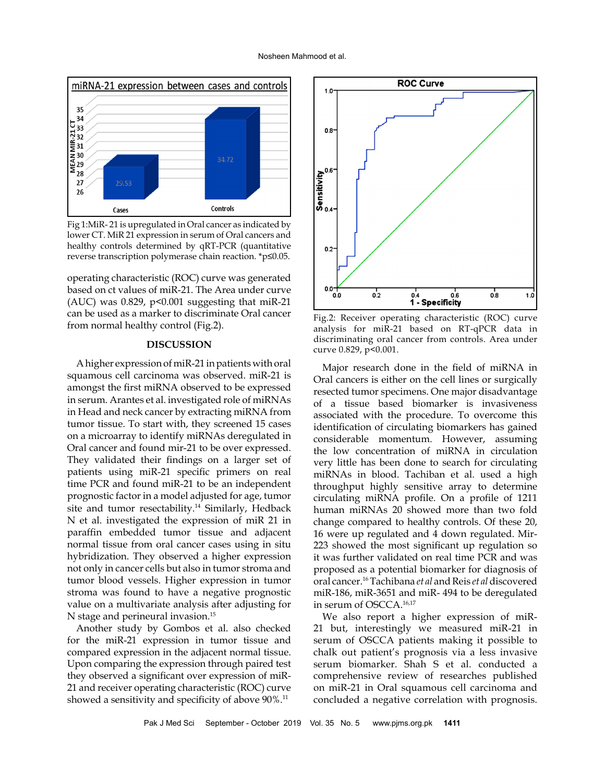

Fig 1:MiR- 21 is upregulated in Oral cancer as indicated by lower CT. MiR 21 expression in serum of Oral cancers and healthy controls determined by qRT-PCR (quantitative reverse transcription polymerase chain reaction. \*p≤0.05.

operating characteristic (ROC) curve was generated based on ct values of miR-21. The Area under curve  $(AUC)$  was 0.829, p<0.001 suggesting that miR-21 can be used as a marker to discriminate Oral cancer from normal healthy control (Fig.2).

# **DISCUSSION**

A higher expression of miR-21 in patients with oral squamous cell carcinoma was observed. miR-21 is amongst the first miRNA observed to be expressed in serum. Arantes et al. investigated role of miRNAs in Head and neck cancer by extracting miRNA from tumor tissue. To start with, they screened 15 cases on a microarray to identify miRNAs deregulated in Oral cancer and found mir-21 to be over expressed. They validated their findings on a larger set of patients using miR-21 specific primers on real time PCR and found miR-21 to be an independent prognostic factor in a model adjusted for age, tumor site and tumor resectability.<sup>14</sup> Similarly, Hedback N et al. investigated the expression of miR 21 in paraffin embedded tumor tissue and adjacent normal tissue from oral cancer cases using in situ hybridization. They observed a higher expression not only in cancer cells but also in tumor stroma and tumor blood vessels. Higher expression in tumor stroma was found to have a negative prognostic value on a multivariate analysis after adjusting for N stage and perineural invasion.<sup>15</sup>

Another study by Gombos et al. also checked for the miR-21 expression in tumor tissue and compared expression in the adjacent normal tissue. Upon comparing the expression through paired test they observed a significant over expression of miR-21 and receiver operating characteristic (ROC) curve showed a sensitivity and specificity of above 90%.<sup>11</sup>



Fig.2: Receiver operating characteristic (ROC) curve analysis for miR-21 based on RT-qPCR data in discriminating oral cancer from controls. Area under curve 0.829, p<0.001.

Major research done in the field of miRNA in Oral cancers is either on the cell lines or surgically resected tumor specimens. One major disadvantage of a tissue based biomarker is invasiveness associated with the procedure. To overcome this identification of circulating biomarkers has gained considerable momentum. However, assuming the low concentration of miRNA in circulation very little has been done to search for circulating miRNAs in blood. Tachiban et al. used a high throughput highly sensitive array to determine circulating miRNA profile. On a profile of 1211 human miRNAs 20 showed more than two fold change compared to healthy controls. Of these 20, 16 were up regulated and 4 down regulated. Mir-223 showed the most significant up regulation so it was further validated on real time PCR and was proposed as a potential biomarker for diagnosis of oral cancer.16 Tachibana *et al* and Reis *et al* discovered miR-186, miR-3651 and miR- 494 to be deregulated in serum of OSCCA.16,17

We also report a higher expression of miR-21 but, interestingly we measured miR-21 in serum of OSCCA patients making it possible to chalk out patient's prognosis via a less invasive serum biomarker. Shah S et al. conducted a comprehensive review of researches published on miR-21 in Oral squamous cell carcinoma and concluded a negative correlation with prognosis.